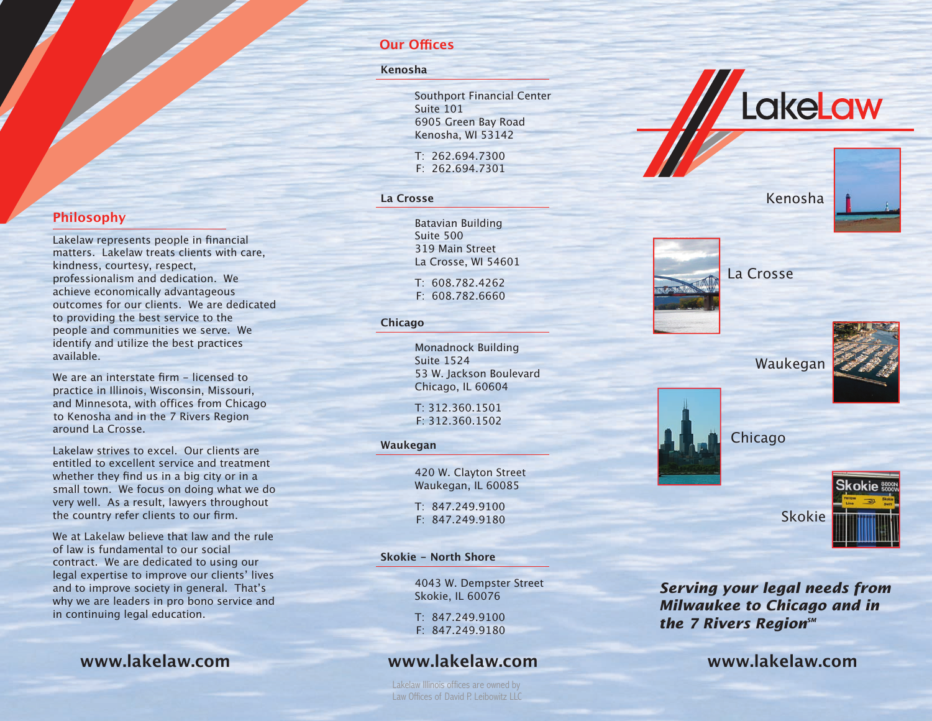## **Our Offices**

#### Kenosha

Southport Financial Center Suite 101 6905 Green Bay Road Kenosha, WI 53142

T: 262,694,7300  $F: 262.694.7301$ 

### La Crosse

**Batavian Building** Suite 500 319 Main Street La Crosse. WI 54601

 $T: 608.782.4262$ F: 608.782.6660

### **Chicago**

Monadnock Building Suite 1524 53 W. Jackson Boulevard Chicago, IL 60604

T: 312.360.1501  $F: 312, 360, 1502$ 

### Waukegan

420 W. Clayton Street Waukegan, IL 60085

 $T: 847.249.9100$  $F: 847, 249, 9180$ 

### **Skokie - North Shore**

4043 W. Dempster Street Skokie, IL 60076

T: 847.249.9100 F: 847.249.9180

# www.lakelaw.com

Lakelaw Illinois offices are owned by Law Offices of David P Leibowitz LLC

# Kenosha

LakeLaw



Waukegan

La Crosse







**Serving your legal needs from Milwaukee to Chicago and in** the 7 Rivers RegionsM

# www.lakelaw.com

## **Philosophy**

Lakelaw represents people in financial matters. Lakelaw treats clients with care, kindness, courtesy, respect, professionalism and dedication. We achieve economically advantageous outcomes for our clients. We are dedicated to providing the best service to the people and communities we serve. We identify and utilize the best practices available.

We are an interstate firm - licensed to practice in Illinois, Wisconsin, Missouri, and Minnesota, with offices from Chicago to Kenosha and in the 7 Rivers Region around La Crosse.

Lakelaw strives to excel. Our clients are entitled to excellent service and treatment whether they find us in a big city or in a small town. We focus on doing what we do very well. As a result, lawyers throughout the country refer clients to our firm.

We at Lakelaw believe that law and the rule of law is fundamental to our social contract. We are dedicated to using our legal expertise to improve our clients' lives and to improve society in general. That's why we are leaders in pro bono service and in continuing legal education.

www.lakelaw.com